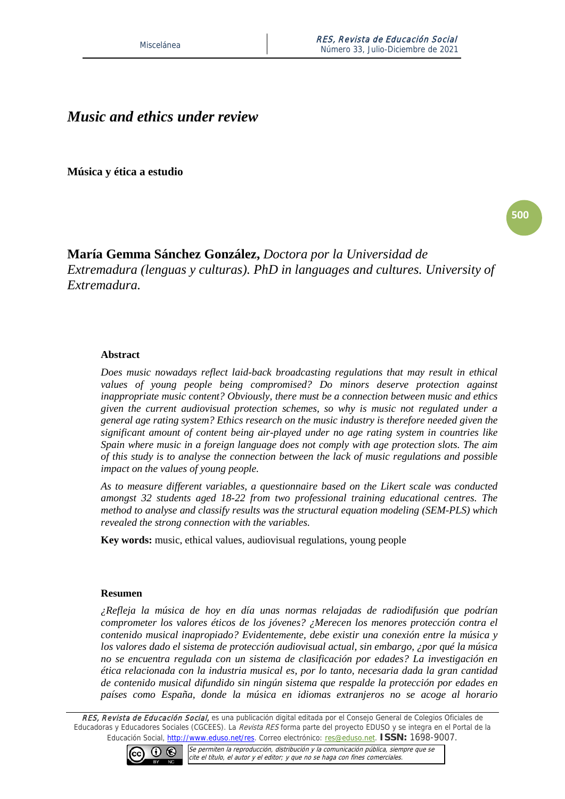# *Music and ethics under review*

**Música y ética a estudio**

**500**

## **María Gemma Sánchez González,** *Doctora por la Universidad de Extremadura (lenguas y culturas). PhD in languages and cultures. University of Extremadura.*

#### **Abstract**

*Does music nowadays reflect laid-back broadcasting regulations that may result in ethical values of young people being compromised? Do minors deserve protection against inappropriate music content? Obviously, there must be a connection between music and ethics given the current audiovisual protection schemes, so why is music not regulated under a general age rating system? Ethics research on the music industry is therefore needed given the significant amount of content being air-played under no age rating system in countries like Spain where music in a foreign language does not comply with age protection slots. The aim of this study is to analyse the connection between the lack of music regulations and possible impact on the values of young people.* 

*As to measure different variables, a questionnaire based on the Likert scale was conducted amongst 32 students aged 18-22 from two professional training educational centres. The method to analyse and classify results was the structural equation modeling (SEM-PLS) which revealed the strong connection with the variables.* 

**Key words:** music, ethical values, audiovisual regulations, young people

#### **Resumen**

*¿Refleja la música de hoy en día unas normas relajadas de radiodifusión que podrían comprometer los valores éticos de los jóvenes? ¿Merecen los menores protección contra el contenido musical inapropiado? Evidentemente, debe existir una conexión entre la música y los valores dado el sistema de protección audiovisual actual, sin embargo, ¿por qué la música no se encuentra regulada con un sistema de clasificación por edades? La investigación en ética relacionada con la industria musical es, por lo tanto, necesaria dada la gran cantidad de contenido musical difundido sin ningún sistema que respalde la protección por edades en países como España, donde la música en idiomas extranjeros no se acoge al horario* 

RES, Revista de Educación Social, es una publicación digital editada por el Consejo General de Colegios Oficiales de Educadoras y Educadores Sociales (CGCEES). La Revista RES forma parte del proyecto EDUSO y se integra en el Portal de la Educación Social, [http://www.eduso.net/res.](http://www.eduso.net/res) Correo electrónico: [res@eduso.net.](mailto:res@eduso.net) **ISSN:** 1698-9007.

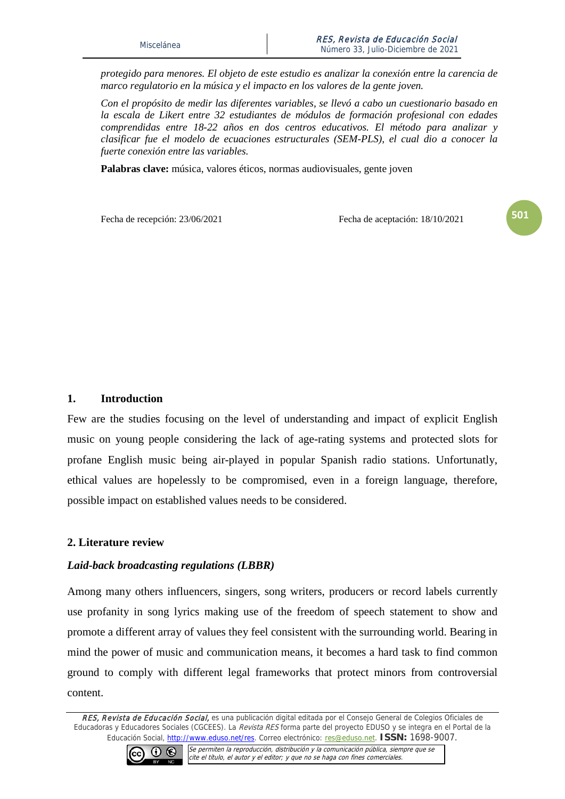*protegido para menores. El objeto de este estudio es analizar la conexión entre la carencia de marco regulatorio en la música y el impacto en los valores de la gente joven.*

*Con el propósito de medir las diferentes variables, se llevó a cabo un cuestionario basado en la escala de Likert entre 32 estudiantes de módulos de formación profesional con edades comprendidas entre 18-22 años en dos centros educativos. El método para analizar y clasificar fue el modelo de ecuaciones estructurales (SEM-PLS), el cual dio a conocer la fuerte conexión entre las variables.* 

**Palabras clave:** música, valores éticos, normas audiovisuales, gente joven

Fecha de recepción: 23/06/2021 Fecha de aceptación: 18/10/2021

**501**

### **1. Introduction**

Few are the studies focusing on the level of understanding and impact of explicit English music on young people considering the lack of age-rating systems and protected slots for profane English music being air-played in popular Spanish radio stations. Unfortunatly, ethical values are hopelessly to be compromised, even in a foreign language, therefore, possible impact on established values needs to be considered.

## **2. Literature review**

#### *Laid-back broadcasting regulations (LBBR)*

Among many others influencers, singers, song writers, producers or record labels currently use profanity in song lyrics making use of the freedom of speech statement to show and promote a different array of values they feel consistent with the surrounding world. Bearing in mind the power of music and communication means, it becomes a hard task to find common ground to comply with different legal frameworks that protect minors from controversial content.

RES, Revista de Educación Social, es una publicación digital editada por el Consejo General de Colegios Oficiales de Educadoras y Educadores Sociales (CGCEES). La Revista RES forma parte del proyecto EDUSO y se integra en el Portal de la Educación Social, [http://www.eduso.net/res.](http://www.eduso.net/res) Correo electrónico: [res@eduso.net.](mailto:res@eduso.net) **ISSN:** 1698-9007.

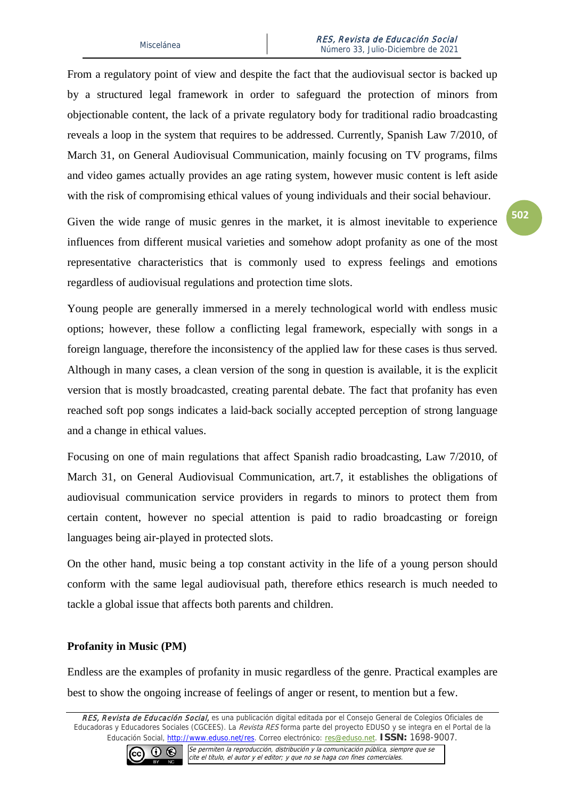From a regulatory point of view and despite the fact that the audiovisual sector is backed up by a structured legal framework in order to safeguard the protection of minors from objectionable content, the lack of a private regulatory body for traditional radio broadcasting reveals a loop in the system that requires to be addressed. Currently, Spanish Law 7/2010, of March 31, on General Audiovisual Communication, mainly focusing on TV programs, films and video games actually provides an age rating system, however music content is left aside with the risk of compromising ethical values of young individuals and their social behaviour.

Given the wide range of music genres in the market, it is almost inevitable to experience influences from different musical varieties and somehow adopt profanity as one of the most representative characteristics that is commonly used to express feelings and emotions regardless of audiovisual regulations and protection time slots.

Young people are generally immersed in a merely technological world with endless music options; however, these follow a conflicting legal framework, especially with songs in a foreign language, therefore the inconsistency of the applied law for these cases is thus served. Although in many cases, a clean version of the song in question is available, it is the explicit version that is mostly broadcasted, creating parental debate. The fact that profanity has even reached soft pop songs indicates a laid-back socially accepted perception of strong language and a change in ethical values.

Focusing on one of main regulations that affect Spanish radio broadcasting, Law 7/2010, of March 31, on General Audiovisual Communication, art.7, it establishes the obligations of audiovisual communication service providers in regards to minors to protect them from certain content, however no special attention is paid to radio broadcasting or foreign languages being air-played in protected slots.

On the other hand, music being a top constant activity in the life of a young person should conform with the same legal audiovisual path, therefore ethics research is much needed to tackle a global issue that affects both parents and children.

## **Profanity in Music (PM)**

Endless are the examples of profanity in music regardless of the genre. Practical examples are best to show the ongoing increase of feelings of anger or resent, to mention but a few.

RES, Revista de Educación Social, es una publicación digital editada por el Consejo General de Colegios Oficiales de Educadoras y Educadores Sociales (CGCEES). La Revista RES forma parte del proyecto EDUSO y se integra en el Portal de la Educación Social, [http://www.eduso.net/res.](http://www.eduso.net/res) Correo electrónico: [res@eduso.net.](mailto:res@eduso.net) **ISSN:** 1698-9007.

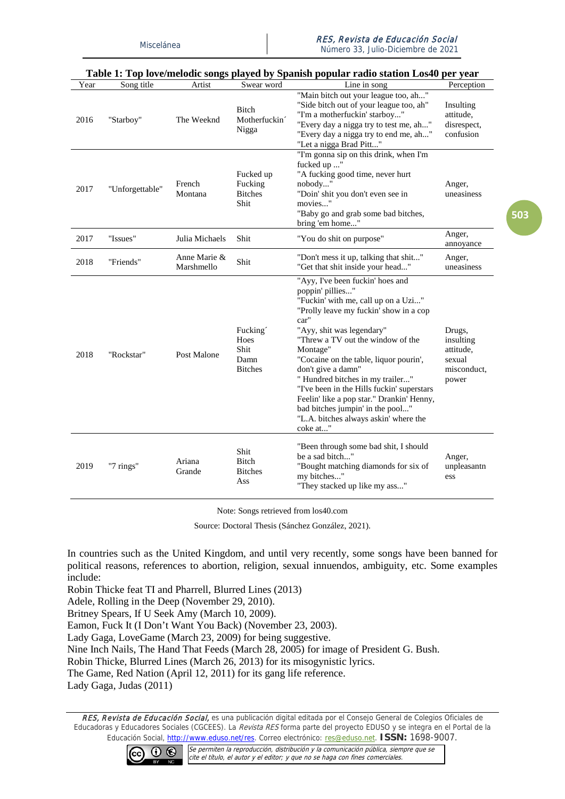Número 33, Julio-Diciembre de 2021

| Table 1. Tup love/lifelouit soligs played by Spallish pupular radio station Los40 per year |                 |                            |                                                   |                                                                                                                                                                                                                                                                                                                                                                                                                                                                                                                     |                                                                    |  |
|--------------------------------------------------------------------------------------------|-----------------|----------------------------|---------------------------------------------------|---------------------------------------------------------------------------------------------------------------------------------------------------------------------------------------------------------------------------------------------------------------------------------------------------------------------------------------------------------------------------------------------------------------------------------------------------------------------------------------------------------------------|--------------------------------------------------------------------|--|
| Year                                                                                       | Song title      | Artist                     | Swear word                                        | Line in song                                                                                                                                                                                                                                                                                                                                                                                                                                                                                                        | Perception                                                         |  |
| 2016                                                                                       | "Starboy"       | The Weeknd                 | Bitch<br>Motherfuckin <sup>2</sup><br>Nigga       | "Main bitch out your league too, ah"<br>"Side bitch out of your league too, ah"<br>"I'm a motherfuckin' starboy"<br>"Every day a nigga try to test me, ah"<br>"Every day a nigga try to end me, ah"<br>"Let a nigga Brad Pitt"                                                                                                                                                                                                                                                                                      | Insulting<br>attitude.<br>disrespect,<br>confusion                 |  |
| 2017                                                                                       | "Unforgettable" | French<br>Montana          | Fucked up<br>Fucking<br><b>Bitches</b><br>Shit    | "I'm gonna sip on this drink, when I'm<br>fucked up "<br>"A fucking good time, never hurt<br>nobody"<br>"Doin' shit you don't even see in<br>movies"<br>"Baby go and grab some bad bitches,<br>bring 'em home"                                                                                                                                                                                                                                                                                                      | Anger,<br>uneasiness                                               |  |
| 2017                                                                                       | "Issues"        | Julia Michaels             | Shit                                              | "You do shit on purpose"                                                                                                                                                                                                                                                                                                                                                                                                                                                                                            | Anger,<br>annoyance                                                |  |
| 2018                                                                                       | "Friends"       | Anne Marie &<br>Marshmello | Shit                                              | "Don't mess it up, talking that shit"<br>"Get that shit inside your head"                                                                                                                                                                                                                                                                                                                                                                                                                                           | Anger,<br>uneasiness                                               |  |
| 2018                                                                                       | "Rockstar"      | Post Malone                | Fucking<br>Hoes<br>Shit<br>Damn<br><b>Bitches</b> | "Ayy, I've been fuckin' hoes and<br>poppin' pillies"<br>"Fuckin' with me, call up on a Uzi"<br>"Prolly leave my fuckin' show in a cop<br>car"<br>"Ayy, shit was legendary"<br>"Threw a TV out the window of the<br>Montage"<br>"Cocaine on the table, liquor pourin',<br>don't give a damn"<br>" Hundred bitches in my trailer"<br>"I've been in the Hills fuckin' superstars<br>Feelin' like a pop star." Drankin' Henny,<br>bad bitches jumpin' in the pool"<br>"L.A. bitches always askin' where the<br>coke at" | Drugs,<br>insulting<br>attitude,<br>sexual<br>misconduct,<br>power |  |
| 2019                                                                                       | "7 rings"       | Ariana<br>Grande           | Shit<br><b>Bitch</b><br><b>Bitches</b><br>Ass     | "Been through some bad shit, I should<br>be a sad bitch"<br>"Bought matching diamonds for six of<br>my bitches"<br>"They stacked up like my ass"                                                                                                                                                                                                                                                                                                                                                                    | Anger,<br>unpleasantn<br>ess                                       |  |

#### **Table 1: Top love/melodic songs played by Spanish popular radio station Los40 per year**

Note: Songs retrieved from los40.com

Source: Doctoral Thesis (Sánchez González, 2021).

In countries such as the United Kingdom, and until very recently, some songs have been banned for political reasons, references to abortion, religion, sexual innuendos, ambiguity, etc. Some examples include:

Robin Thicke feat TI and Pharrell, Blurred Lines (2013)

Adele, Rolling in the Deep (November 29, 2010).

Britney Spears, If U Seek Amy (March 10, 2009).

Eamon, Fuck It (I Don't Want You Back) (November 23, 2003).

Lady Gaga, LoveGame (March 23, 2009) for being suggestive.

Nine Inch Nails, The Hand That Feeds (March 28, 2005) for image of President G. Bush.

Robin Thicke, Blurred Lines (March 26, 2013) for its misogynistic lyrics.

The Game, Red Nation (April 12, 2011) for its gang life reference.

Lady Gaga, Judas (2011)

RES, Revista de Educación Social, es una publicación digital editada por el Consejo General de Colegios Oficiales de Educadoras y Educadores Sociales (CGCEES). La Revista RES forma parte del proyecto EDUSO y se integra en el Portal de la Educación Social, [http://www.eduso.net/res.](http://www.eduso.net/res) Correo electrónico: [res@eduso.net.](mailto:res@eduso.net) **ISSN:** 1698-9007.

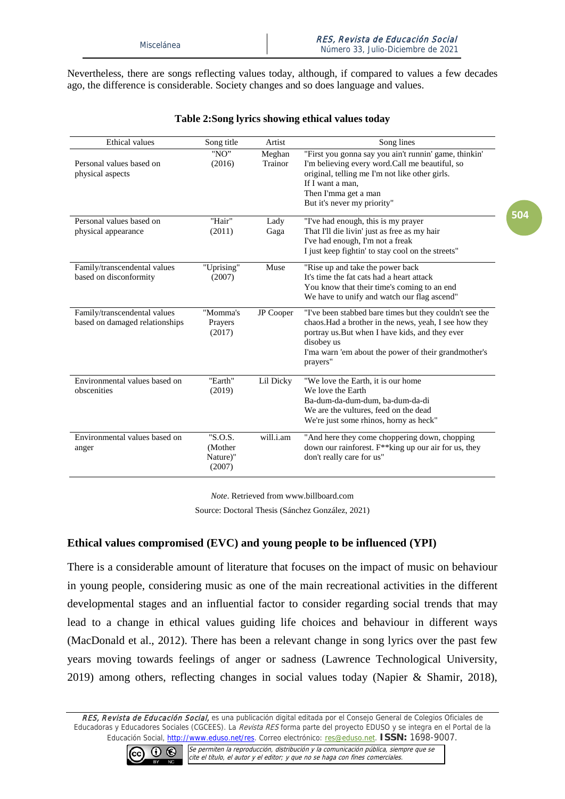Nevertheless, there are songs reflecting values today, although, if compared to values a few decades ago, the difference is considerable. Society changes and so does language and values.

| <b>Ethical</b> values                                          | Song title                               | Artist            | Song lines                                                                                                                                                                                                                                             |
|----------------------------------------------------------------|------------------------------------------|-------------------|--------------------------------------------------------------------------------------------------------------------------------------------------------------------------------------------------------------------------------------------------------|
| Personal values based on<br>physical aspects                   | "NO"<br>(2016)                           | Meghan<br>Trainor | "First you gonna say you ain't runnin' game, thinkin'<br>I'm believing every word. Call me beautiful, so<br>original, telling me I'm not like other girls.<br>If I want a man.<br>Then I'mma get a man<br>But it's never my priority"                  |
| Personal values based on<br>physical appearance                | "Hair"<br>(2011)                         | Lady<br>Gaga      | "I've had enough, this is my prayer<br>That I'll die livin' just as free as my hair<br>I've had enough, I'm not a freak<br>I just keep fightin' to stay cool on the streets"                                                                           |
| Family/transcendental values<br>based on disconformity         | "Uprising"<br>(2007)                     | Muse              | "Rise up and take the power back<br>It's time the fat cats had a heart attack<br>You know that their time's coming to an end<br>We have to unify and watch our flag ascend"                                                                            |
| Family/transcendental values<br>based on damaged relationships | "Momma's<br>Prayers<br>(2017)            | <b>JP</b> Cooper  | "I've been stabbed bare times but they couldn't see the<br>chaos. Had a brother in the news, yeah, I see how they<br>portray us. But when I have kids, and they ever<br>disobey us<br>I'ma warn 'em about the power of their grandmother's<br>prayers" |
| Environmental values based on<br>obscenities                   | "Earth"<br>(2019)                        | Lil Dicky         | "We love the Earth, it is our home<br>We love the Earth<br>Ba-dum-da-dum-dum, ba-dum-da-di<br>We are the vultures, feed on the dead<br>We're just some rhinos, horny as heck"                                                                          |
| Environmental values based on<br>anger                         | "S.O.S.<br>(Mother<br>Nature)"<br>(2007) | will.i.am         | "And here they come choppering down, chopping<br>down our rainforest. F <sup>**</sup> king up our air for us, they<br>don't really care for us"                                                                                                        |

#### **Table 2:Song lyrics showing ethical values today**

*Note*. Retrieved from www.billboard.com

Source: Doctoral Thesis (Sánchez González, 2021)

## **Ethical values compromised (EVC) and young people to be influenced (YPI)**

There is a considerable amount of literature that focuses on the impact of music on behaviour in young people, considering music as one of the main recreational activities in the different developmental stages and an influential factor to consider regarding social trends that may lead to a change in ethical values guiding life choices and behaviour in different ways (MacDonald et al., 2012). There has been a relevant change in song lyrics over the past few years moving towards feelings of anger or sadness (Lawrence Technological University, 2019) among others, reflecting changes in social values today (Napier & Shamir, 2018),

RES, Revista de Educación Social, es una publicación digital editada por el Consejo General de Colegios Oficiales de Educadoras y Educadores Sociales (CGCEES). La Revista RES forma parte del proyecto EDUSO y se integra en el Portal de la Educación Social, [http://www.eduso.net/res.](http://www.eduso.net/res) Correo electrónico: [res@eduso.net.](mailto:res@eduso.net) **ISSN:** 1698-9007.

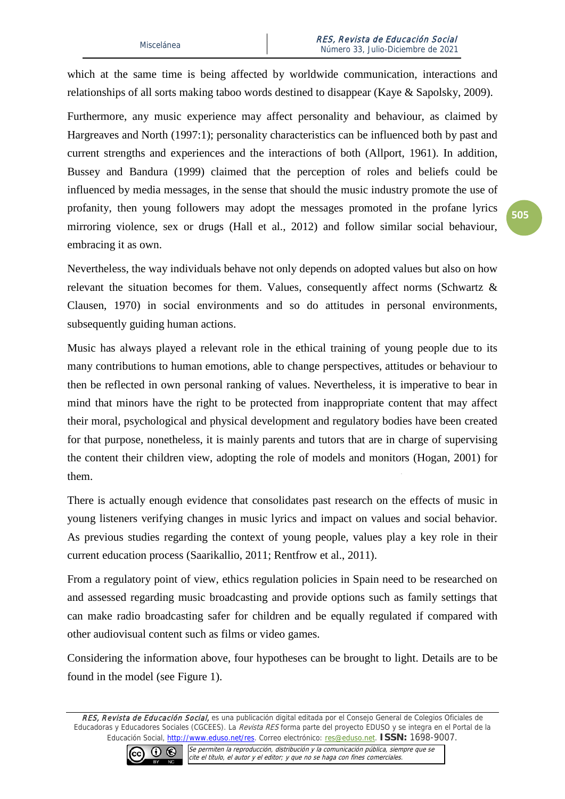which at the same time is being affected by worldwide communication, interactions and relationships of all sorts making taboo words destined to disappear (Kaye & Sapolsky, 2009).

Furthermore, any music experience may affect personality and behaviour, as claimed by [Hargreaves and North](https://www.tandfonline.com/doi/full/10.1080/02673843.2011.650182?src=recsys) (1997:1); personality characteristics can be influenced both by past and current strengths and experiences and the interactions of both (Allport, 1961). In addition, Bussey and Bandura (1999) claimed that the perception of roles and beliefs could be influenced by media messages, in the sense that should the music industry promote the use of profanity, then young followers may adopt the messages promoted in the profane lyrics mirroring violence, sex or drugs [\(Hall et al., 2012\)](https://journals.sagepub.com/doi/10.1177/2158244014547179) and follow similar social behaviour, embracing it as own.

Nevertheless, the way individuals behave not only depends on adopted values but also on how relevant the situation becomes for them. Values, consequently affect norms (Schwartz & Clausen, 1970) in social environments and so do attitudes in personal environments, subsequently guiding human actions.

Music has always played a relevant role in the ethical training of young people due to its many contributions to human emotions, able to change perspectives, attitudes or behaviour to then be reflected in own personal ranking of values. Nevertheless, it is imperative to bear in mind that minors have the right to be protected from inappropriate content that may affect their moral, psychological and physical development and regulatory bodies have been created for that purpose, nonetheless, it is mainly parents and tutors that are in charge of supervising the content their children view, adopting the role of models and monitors (Hogan, 2001) for them.

There is actually enough evidence that consolidates past research on the effects of music in young listeners verifying changes in music lyrics and impact on values and social behavior. As previous studies regarding the context of young people, values play a key role in their current education process (Saarikallio, 2011; Rentfrow et al., 2011).

From a regulatory point of view, ethics regulation policies in Spain need to be researched on and assessed regarding music broadcasting and provide options such as family settings that can make radio broadcasting safer for children and be equally regulated if compared with other audiovisual content such as films or video games.

Considering the information above, four hypotheses can be brought to light. Details are to be found in the model (see Figure 1).

RES, Revista de Educación Social, es una publicación digital editada por el Consejo General de Colegios Oficiales de Educadoras y Educadores Sociales (CGCEES). La Revista RES forma parte del proyecto EDUSO y se integra en el Portal de la Educación Social, [http://www.eduso.net/res.](http://www.eduso.net/res) Correo electrónico: [res@eduso.net.](mailto:res@eduso.net) **ISSN:** 1698-9007.

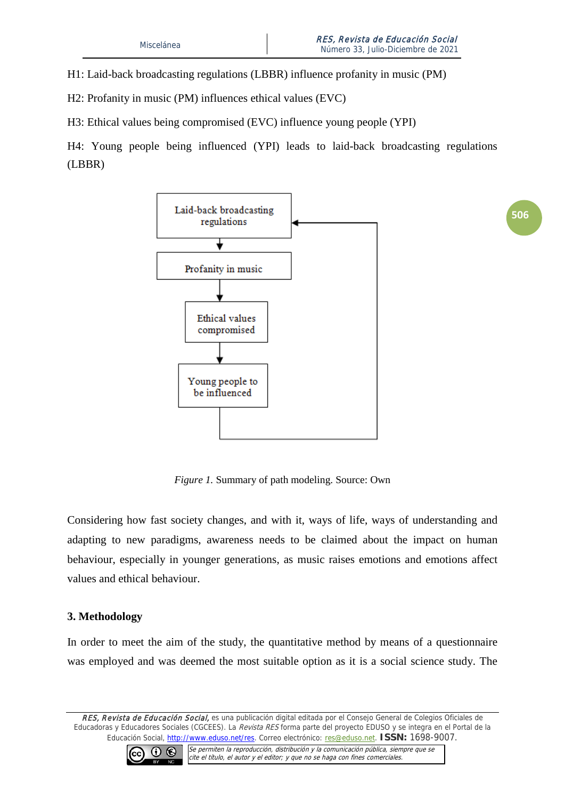**506**

H1: Laid-back broadcasting regulations (LBBR) influence profanity in music (PM)

H2: Profanity in music (PM) influences ethical values (EVC)

H3: Ethical values being compromised (EVC) influence young people (YPI)

H4: Young people being influenced (YPI) leads to laid-back broadcasting regulations (LBBR)



*Figure 1.* Summary of path modeling. Source: Own

Considering how fast society changes, and with it, ways of life, ways of understanding and adapting to new paradigms, awareness needs to be claimed about the impact on human behaviour, especially in younger generations, as music raises emotions and emotions affect values and ethical behaviour.

## **3. Methodology**

In order to meet the aim of the study, the quantitative method by means of a questionnaire was employed and was deemed the most suitable option as it is a social science study. The

RES, Revista de Educación Social, es una publicación digital editada por el Consejo General de Colegios Oficiales de Educadoras y Educadores Sociales (CGCEES). La Revista RES forma parte del proyecto EDUSO y se integra en el Portal de la Educación Social, [http://www.eduso.net/res.](http://www.eduso.net/res) Correo electrónico: [res@eduso.net.](mailto:res@eduso.net) **ISSN:** 1698-9007.

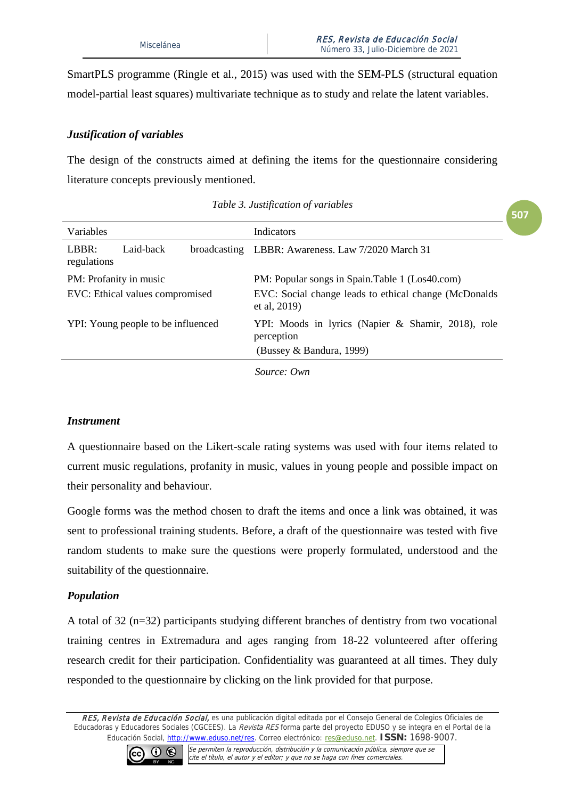SmartPLS programme (Ringle et al., 2015) was used with the SEM-PLS (structural equation model-partial least squares) multivariate technique as to study and relate the latent variables.

## *Justification of variables*

The design of the constructs aimed at defining the items for the questionnaire considering literature concepts previously mentioned.

|                                    |           |  |                                                                        | 507 |  |
|------------------------------------|-----------|--|------------------------------------------------------------------------|-----|--|
| Variables                          |           |  | Indicators                                                             |     |  |
| LBBR:<br>regulations               | Laid-back |  | broadcasting LBBR: Awareness. Law 7/2020 March 31                      |     |  |
| PM: Profanity in music             |           |  | PM: Popular songs in Spain.Table 1 (Los40.com)                         |     |  |
| EVC: Ethical values compromised    |           |  | EVC: Social change leads to ethical change (McDonalds)<br>et al, 2019) |     |  |
| YPI: Young people to be influenced |           |  | YPI: Moods in lyrics (Napier & Shamir, 2018), role<br>perception       |     |  |
|                                    |           |  | (Bussey & Bandura, 1999)                                               |     |  |
|                                    |           |  |                                                                        |     |  |

|  |  | Table 3. Justification of variables |  |  |
|--|--|-------------------------------------|--|--|
|--|--|-------------------------------------|--|--|

*Source: Own* 

## *Instrument*

A questionnaire based on the Likert-scale rating systems was used with four items related to current music regulations, profanity in music, values in young people and possible impact on their personality and behaviour.

Google forms was the method chosen to draft the items and once a link was obtained, it was sent to professional training students. Before, a draft of the questionnaire was tested with five random students to make sure the questions were properly formulated, understood and the suitability of the questionnaire.

## *Population*

A total of 32 (n=32) participants studying different branches of dentistry from two vocational training centres in Extremadura and ages ranging from 18-22 volunteered after offering research credit for their participation. Confidentiality was guaranteed at all times. They duly responded to the questionnaire by clicking on the link provided for that purpose.

RES, Revista de Educación Social, es una publicación digital editada por el Consejo General de Colegios Oficiales de Educadoras y Educadores Sociales (CGCEES). La Revista RES forma parte del proyecto EDUSO y se integra en el Portal de la Educación Social, [http://www.eduso.net/res.](http://www.eduso.net/res) Correo electrónico: [res@eduso.net.](mailto:res@eduso.net) **ISSN:** 1698-9007.

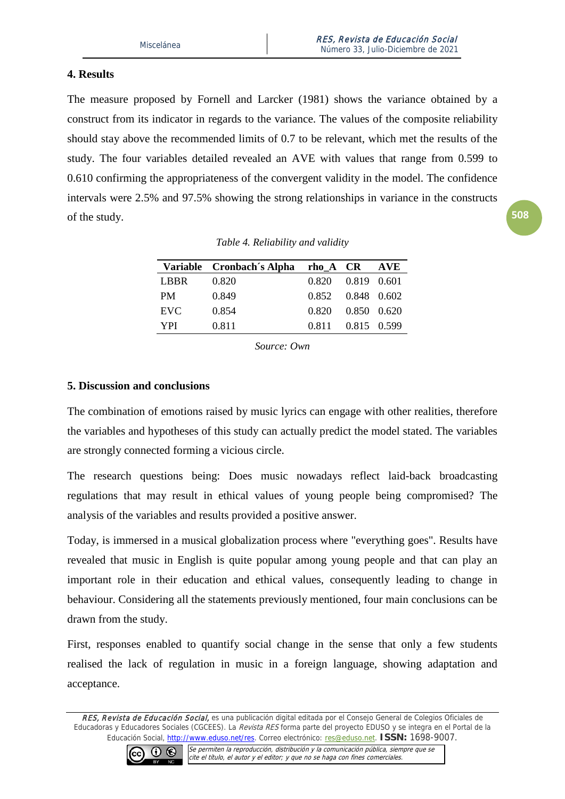## **4. Results**

The measure proposed by Fornell and Larcker (1981) shows the variance obtained by a construct from its indicator in regards to the variance. The values of the composite reliability should stay above the recommended limits of 0.7 to be relevant, which met the results of the study. The four variables detailed revealed an AVE with values that range from 0.599 to 0.610 confirming the appropriateness of the convergent validity in the model. The confidence intervals were 2.5% and 97.5% showing the strong relationships in variance in the constructs of the study.

|             | Variable Cronbach's Alpha | $rho_A$ $CR$                      |             | AVE |
|-------------|---------------------------|-----------------------------------|-------------|-----|
| <b>LBBR</b> | 0.820                     | $0.820 \qquad 0.819 \qquad 0.601$ |             |     |
| PM          | 0.849                     | 0.852 0.848 0.602                 |             |     |
| EVC         | 0.854                     | 0.820                             | 0.850 0.620 |     |
| <b>YPI</b>  | 0.811                     | 0.811                             | 0.815 0.599 |     |
|             |                           |                                   |             |     |

*Table 4. Reliability and validity*

*Source: Own*

## **5. Discussion and conclusions**

The combination of emotions raised by music lyrics can engage with other realities, therefore the variables and hypotheses of this study can actually predict the model stated. The variables are strongly connected forming a vicious circle.

The research questions being: Does music nowadays reflect laid-back broadcasting regulations that may result in ethical values of young people being compromised? The analysis of the variables and results provided a positive answer.

Today, is immersed in a musical globalization process where "everything goes". Results have revealed that music in English is quite popular among young people and that can play an important role in their education and ethical values, consequently leading to change in behaviour. Considering all the statements previously mentioned, four main conclusions can be drawn from the study.

First, responses enabled to quantify social change in the sense that only a few students realised the lack of regulation in music in a foreign language, showing adaptation and acceptance.

RES, Revista de Educación Social, es una publicación digital editada por el Consejo General de Colegios Oficiales de Educadoras y Educadores Sociales (CGCEES). La Revista RES forma parte del proyecto EDUSO y se integra en el Portal de la Educación Social, [http://www.eduso.net/res.](http://www.eduso.net/res) Correo electrónico: [res@eduso.net.](mailto:res@eduso.net) **ISSN:** 1698-9007.

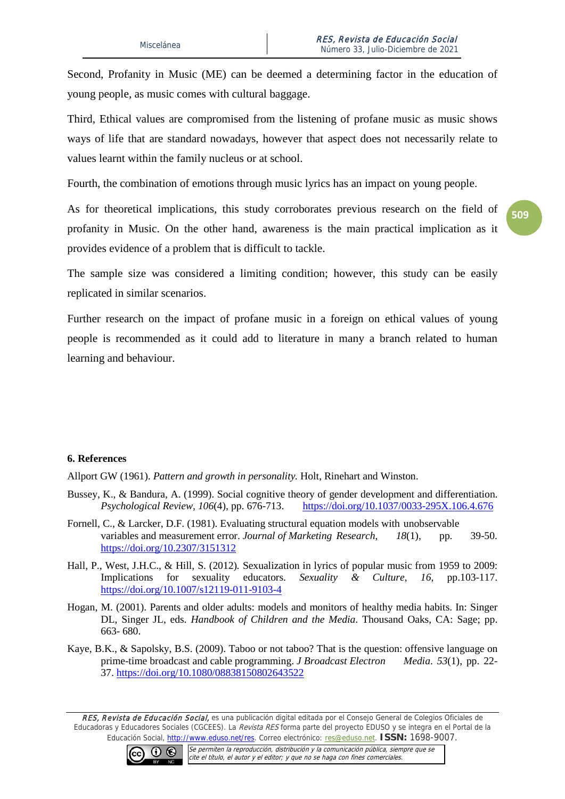Second, Profanity in Music (ME) can be deemed a determining factor in the education of young people, as music comes with cultural baggage.

Third, Ethical values are compromised from the listening of profane music as music shows ways of life that are standard nowadays, however that aspect does not necessarily relate to values learnt within the family nucleus or at school.

Fourth, the combination of emotions through music lyrics has an impact on young people.

As for theoretical implications, this study corroborates previous research on the field of profanity in Music. On the other hand, awareness is the main practical implication as it provides evidence of a problem that is difficult to tackle.

The sample size was considered a limiting condition; however, this study can be easily replicated in similar scenarios.

Further research on the impact of profane music in a foreign on ethical values of young people is recommended as it could add to literature in many a branch related to human learning and behaviour.

#### **6. References**

Allport GW (1961). *Pattern and growth in personality.* Holt, Rinehart and Winston.

- Bussey, K., & Bandura, A. (1999). Social cognitive theory of gender development and differentiation. *Psychological Review, 106*(4), pp. 676-713. <https://doi.org/10.1037/0033-295X.106.4.676>
- Fornell, C., & Larcker, D.F. (1981). Evaluating structural equation models with unobservable variables and measurement error. *Journal of Marketing Research, 18*(1), pp. 39-50. [https://doi.org/10.2307/3151312](https://psycnet.apa.org/doi/10.2307/3151312)
- Hall, P., West, J.H.C., & Hill, S. (2012)*.* Sexualization in lyrics of popular music from 1959 to 2009: Implications for sexuality educators. *Sexuality & Culture*, *16*, pp.103-117. <https://doi.org/10.1007/s12119-011-9103-4>
- Hogan, M. (2001). Parents and older adults: models and monitors of healthy media habits. In: Singer DL, Singer JL, eds. *Handbook of Children and the Media*. Thousand Oaks, CA: Sage; pp. 663- 680.
- Kaye, B.K., & Sapolsky, B.S. (2009). Taboo or not taboo? That is the question: offensive language on prime-time broadcast and cable programming. *J Broadcast Electron Media*. *53*(1), pp. 22- 37. <https://doi.org/10.1080/08838150802643522>

RES, Revista de Educación Social, es una publicación digital editada por el Consejo General de Colegios Oficiales de Educadoras y Educadores Sociales (CGCEES). La Revista RES forma parte del proyecto EDUSO y se integra en el Portal de la Educación Social, [http://www.eduso.net/res.](http://www.eduso.net/res) Correo electrónico: [res@eduso.net.](mailto:res@eduso.net) **ISSN:** 1698-9007.